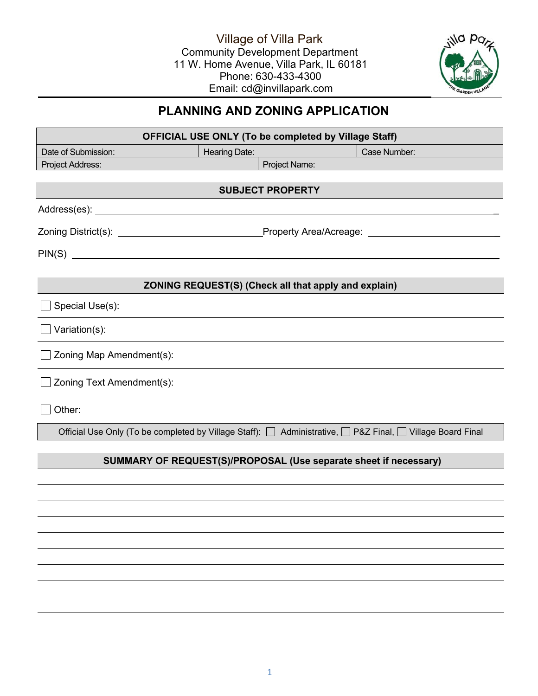

# **PLANNING AND ZONING APPLICATION**

| <b>OFFICIAL USE ONLY (To be completed by Village Staff)</b> |                      |                                                                  |                                                                                                            |  |  |  |  |  |  |
|-------------------------------------------------------------|----------------------|------------------------------------------------------------------|------------------------------------------------------------------------------------------------------------|--|--|--|--|--|--|
| Date of Submission:                                         | <b>Hearing Date:</b> |                                                                  | Case Number:                                                                                               |  |  |  |  |  |  |
| Project Address:                                            |                      | Project Name:                                                    |                                                                                                            |  |  |  |  |  |  |
| <b>SUBJECT PROPERTY</b>                                     |                      |                                                                  |                                                                                                            |  |  |  |  |  |  |
|                                                             |                      |                                                                  |                                                                                                            |  |  |  |  |  |  |
|                                                             |                      |                                                                  |                                                                                                            |  |  |  |  |  |  |
| $PIN(S)$ $\qquad \qquad$                                    |                      |                                                                  |                                                                                                            |  |  |  |  |  |  |
|                                                             |                      | <b>ZONING REQUEST(S) (Check all that apply and explain)</b>      |                                                                                                            |  |  |  |  |  |  |
| Special Use(s):                                             |                      |                                                                  |                                                                                                            |  |  |  |  |  |  |
| Variation(s):                                               |                      |                                                                  |                                                                                                            |  |  |  |  |  |  |
| Zoning Map Amendment(s):                                    |                      |                                                                  |                                                                                                            |  |  |  |  |  |  |
| Zoning Text Amendment(s):                                   |                      |                                                                  |                                                                                                            |  |  |  |  |  |  |
| Other:                                                      |                      |                                                                  |                                                                                                            |  |  |  |  |  |  |
|                                                             |                      |                                                                  | Official Use Only (To be completed by Village Staff): □ Administrative, □ P&Z Final, □ Village Board Final |  |  |  |  |  |  |
|                                                             |                      | SUMMARY OF REQUEST(S)/PROPOSAL (Use separate sheet if necessary) |                                                                                                            |  |  |  |  |  |  |
|                                                             |                      |                                                                  |                                                                                                            |  |  |  |  |  |  |
|                                                             |                      |                                                                  |                                                                                                            |  |  |  |  |  |  |
|                                                             |                      |                                                                  |                                                                                                            |  |  |  |  |  |  |
|                                                             |                      |                                                                  |                                                                                                            |  |  |  |  |  |  |
|                                                             |                      |                                                                  |                                                                                                            |  |  |  |  |  |  |
|                                                             |                      |                                                                  |                                                                                                            |  |  |  |  |  |  |
|                                                             |                      |                                                                  |                                                                                                            |  |  |  |  |  |  |
|                                                             |                      |                                                                  |                                                                                                            |  |  |  |  |  |  |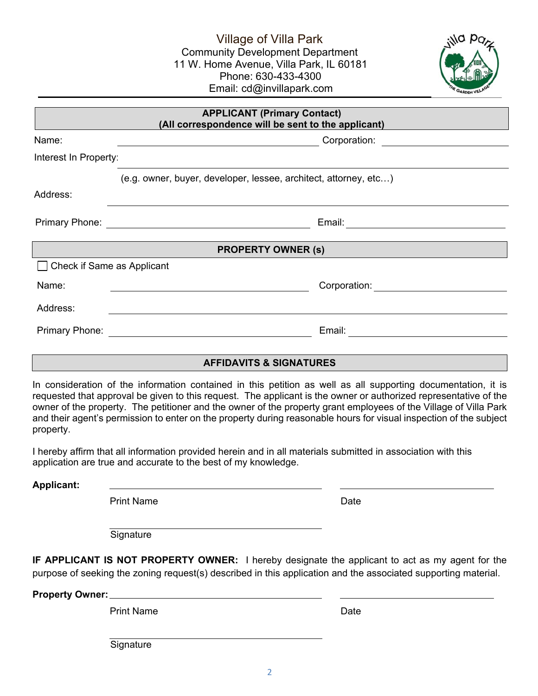Village of Villa Park Community Development Department 11 W. Home Avenue, Villa Park, IL 60181 Phone: 630-433-4300 Email: cd@invillapark.com



| <b>APPLICANT (Primary Contact)</b><br>(All correspondence will be sent to the applicant) |                                                                                                                                                                  |  |  |  |  |  |  |
|------------------------------------------------------------------------------------------|------------------------------------------------------------------------------------------------------------------------------------------------------------------|--|--|--|--|--|--|
| Name:                                                                                    | Corporation: <u>____________________</u><br><u> Andreas Andreas Andreas Andreas Andreas Andreas Andreas Andreas Andreas Andreas Andreas Andreas Andreas Andr</u> |  |  |  |  |  |  |
| Interest In Property:                                                                    |                                                                                                                                                                  |  |  |  |  |  |  |
|                                                                                          | (e.g. owner, buyer, developer, lessee, architect, attorney, etc)                                                                                                 |  |  |  |  |  |  |
| Address:                                                                                 |                                                                                                                                                                  |  |  |  |  |  |  |
|                                                                                          | Email: _____________________________                                                                                                                             |  |  |  |  |  |  |
| <b>PROPERTY OWNER (s)</b>                                                                |                                                                                                                                                                  |  |  |  |  |  |  |
| Check if Same as Applicant                                                               |                                                                                                                                                                  |  |  |  |  |  |  |
| Name:                                                                                    | Corporation: <u>______</u> ________                                                                                                                              |  |  |  |  |  |  |
| Address:                                                                                 |                                                                                                                                                                  |  |  |  |  |  |  |
|                                                                                          | Email: __________________                                                                                                                                        |  |  |  |  |  |  |
|                                                                                          |                                                                                                                                                                  |  |  |  |  |  |  |
| <b>AFFIDAVITS &amp; SIGNATURES</b>                                                       |                                                                                                                                                                  |  |  |  |  |  |  |

In consideration of the information contained in this petition as well as all supporting documentation, it is requested that approval be given to this request. The applicant is the owner or authorized representative of the owner of the property. The petitioner and the owner of the property grant employees of the Village of Villa Park and their agent's permission to enter on the property during reasonable hours for visual inspection of the subject property.

I hereby affirm that all information provided herein and in all materials submitted in association with this application are true and accurate to the best of my knowledge.

**Applicant:**

Print Name Date

**Signature** 

**IF APPLICANT IS NOT PROPERTY OWNER:** I hereby designate the applicant to act as my agent for the purpose of seeking the zoning request(s) described in this application and the associated supporting material.

**Property Owner:**

Print Name Date Name Date

**Signature**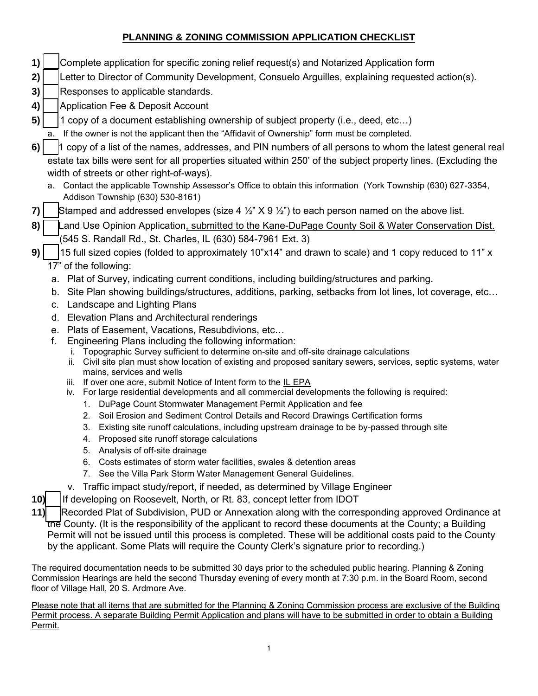### **PLANNING & ZONING COMMISSION APPLICATION CHECKLIST**

- **1)** Complete application for specific zoning relief request(s) and Notarized Application form
- **2)** Letter to Director of Community Development, Consuelo Arguilles, explaining requested action(s).
- **3)** Responses to applicable standards.
- **4)** | Application Fee & Deposit Account
- **5)**  $\vert$  1 copy of a document establishing ownership of subject property (i.e., deed, etc...)
	- a. If the owner is not the applicant then the "Affidavit of Ownership" form must be completed.
- **6)**  $\vert$  1 copy of a list of the names, addresses, and PIN numbers of all persons to whom the latest general real estate tax bills were sent for all properties situated within 250' of the subject property lines. (Excluding the width of streets or other right-of-ways).
	- a. Contact the applicable Township Assessor's Office to obtain this information (York Township (630) 627-3354, Addison Township (630) 530-8161)
- **7)** Stamped and addressed envelopes (size 4  $\frac{1}{2}$  X 9  $\frac{1}{2}$ ) to each person named on the above list.
- 8) Land Use Opinion Application, submitted to the Kane-DuPage County Soil & Water Conservation Dist. (545 S. Randall Rd., St. Charles, IL (630) 584-7961 Ext. 3)
- **9)**  $\vert$  15 full sized copies (folded to approximately 10"x14" and drawn to scale) and 1 copy reduced to 11" x 17" of the following:
	- a. Plat of Survey, indicating current conditions, including building/structures and parking.
	- b. Site Plan showing buildings/structures, additions, parking, setbacks from lot lines, lot coverage, etc…
	- c. Landscape and Lighting Plans
	- d. Elevation Plans and Architectural renderings
	- e. Plats of Easement, Vacations, Resubdivions, etc…
	- f. Engineering Plans including the following information:
		- i. Topographic Survey sufficient to determine on-site and off-site drainage calculations
		- ii. Civil site plan must show location of existing and proposed sanitary sewers, services, septic systems, water mains, services and wells
		- iii. If over one acre, submit Notice of Intent form to the IL EPA
		- iv. For large residential developments and all commercial developments the following is required:
			- 1. DuPage Count Stormwater Management Permit Application and fee
			- 2. Soil Erosion and Sediment Control Details and Record Drawings Certification forms
			- 3. Existing site runoff calculations, including upstream drainage to be by-passed through site
			- 4. Proposed site runoff storage calculations
			- 5. Analysis of off-site drainage
			- 6. Costs estimates of storm water facilities, swales & detention areas
			- 7. See the Villa Park Storm Water Management General Guidelines.
		- v. Traffic impact study/report, if needed, as determined by Village Engineer

**10)** If developing on Roosevelt, North, or Rt. 83, concept letter from IDOT

**11)** Recorded Plat of Subdivision, PUD or Annexation along with the corresponding approved Ordinance at the County. (It is the responsibility of the applicant to record these documents at the County; a Building Permit will not be issued until this process is completed. These will be additional costs paid to the County by the applicant. Some Plats will require the County Clerk's signature prior to recording.)

The required documentation needs to be submitted 30 days prior to the scheduled public hearing. Planning & Zoning Commission Hearings are held the second Thursday evening of every month at 7:30 p.m. in the Board Room, second floor of Village Hall, 20 S. Ardmore Ave.

Please note that all items that are submitted for the Planning & Zoning Commission process are exclusive of the Building Permit process. A separate Building Permit Application and plans will have to be submitted in order to obtain a Building Permit.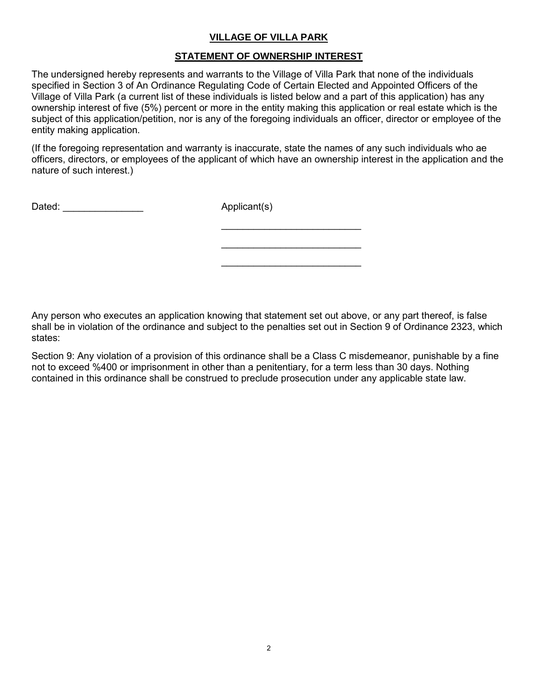#### **VILLAGE OF VILLA PARK**

#### **STATEMENT OF OWNERSHIP INTEREST**

The undersigned hereby represents and warrants to the Village of Villa Park that none of the individuals specified in Section 3 of An Ordinance Regulating Code of Certain Elected and Appointed Officers of the Village of Villa Park (a current list of these individuals is listed below and a part of this application) has any ownership interest of five (5%) percent or more in the entity making this application or real estate which is the subject of this application/petition, nor is any of the foregoing individuals an officer, director or employee of the entity making application.

(If the foregoing representation and warranty is inaccurate, state the names of any such individuals who ae officers, directors, or employees of the applicant of which have an ownership interest in the application and the nature of such interest.)

 $\mathcal{L}_\text{max}$  , which is a set of the set of the set of the set of the set of the set of the set of the set of the set of the set of the set of the set of the set of the set of the set of the set of the set of the set of

 $\mathcal{L}_\text{max}$  , which is a set of the set of the set of the set of the set of the set of the set of the set of the set of the set of the set of the set of the set of the set of the set of the set of the set of the set of

 $\mathcal{L}_\text{max}$  , which is a set of the set of the set of the set of the set of the set of the set of the set of the set of the set of the set of the set of the set of the set of the set of the set of the set of the set of

Dated: \_\_\_\_\_\_\_\_\_\_\_\_\_\_\_ Applicant(s)

Any person who executes an application knowing that statement set out above, or any part thereof, is false shall be in violation of the ordinance and subject to the penalties set out in Section 9 of Ordinance 2323, which states:

Section 9: Any violation of a provision of this ordinance shall be a Class C misdemeanor, punishable by a fine not to exceed %400 or imprisonment in other than a penitentiary, for a term less than 30 days. Nothing contained in this ordinance shall be construed to preclude prosecution under any applicable state law.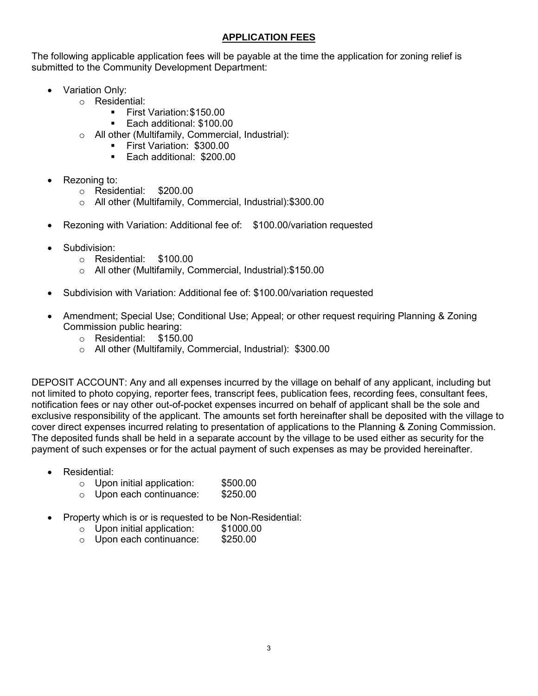#### **APPLICATION FEES**

The following applicable application fees will be payable at the time the application for zoning relief is submitted to the Community Development Department:

- Variation Only:
	- o Residential:
		- **First Variation: \$150.00**
		- **Each additional: \$100.00**
	- o All other (Multifamily, Commercial, Industrial):
		- **First Variation: \$300.00**
		- **Each additional: \$200.00**
- Rezoning to:
	- o Residential: \$200.00
	- o All other (Multifamily, Commercial, Industrial):\$300.00
- Rezoning with Variation: Additional fee of: \$100.00/variation requested
- Subdivision:
	- o Residential: \$100.00
	- o All other (Multifamily, Commercial, Industrial):\$150.00
- Subdivision with Variation: Additional fee of: \$100.00/variation requested
- Amendment; Special Use; Conditional Use; Appeal; or other request requiring Planning & Zoning Commission public hearing:
	- o Residential: \$150.00
	- o All other (Multifamily, Commercial, Industrial): \$300.00

DEPOSIT ACCOUNT: Any and all expenses incurred by the village on behalf of any applicant, including but not limited to photo copying, reporter fees, transcript fees, publication fees, recording fees, consultant fees, notification fees or nay other out-of-pocket expenses incurred on behalf of applicant shall be the sole and exclusive responsibility of the applicant. The amounts set forth hereinafter shall be deposited with the village to cover direct expenses incurred relating to presentation of applications to the Planning & Zoning Commission. The deposited funds shall be held in a separate account by the village to be used either as security for the payment of such expenses or for the actual payment of such expenses as may be provided hereinafter.

- Residential:
	- o Upon initial application: \$500.00
	- o Upon each continuance: \$250.00
- Property which is or is requested to be Non-Residential:
	- o Upon initial application: \$1000.00
	- o Upon each continuance: \$250.00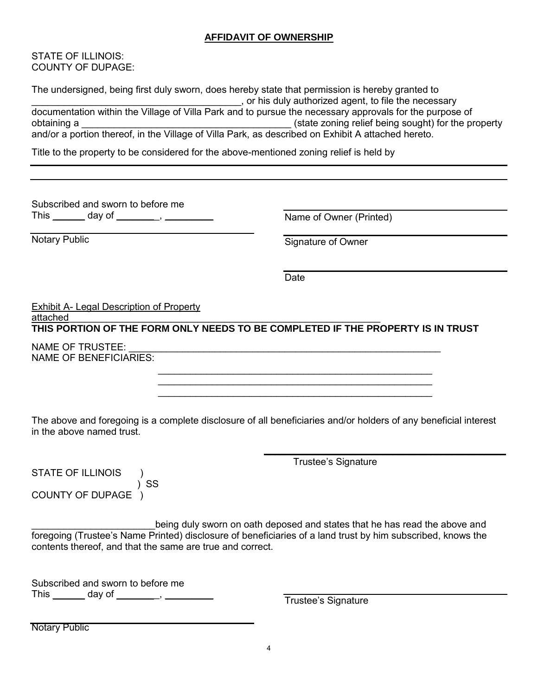#### **AFFIDAVIT OF OWNERSHIP**

STATE OF ILLINOIS: COUNTY OF DUPAGE:

| The undersigned, being first duly sworn, does hereby state that permission is hereby granted to         |                                                       |  |  |  |  |  |  |
|---------------------------------------------------------------------------------------------------------|-------------------------------------------------------|--|--|--|--|--|--|
|                                                                                                         | , or his duly authorized agent, to file the necessary |  |  |  |  |  |  |
| documentation within the Village of Villa Park and to pursue the necessary approvals for the purpose of |                                                       |  |  |  |  |  |  |
| obtaining a                                                                                             | (state zoning relief being sought) for the property   |  |  |  |  |  |  |
| and/or a portion thereof, in the Village of Villa Park, as described on Exhibit A attached hereto.      |                                                       |  |  |  |  |  |  |
|                                                                                                         |                                                       |  |  |  |  |  |  |

Title to the property to be considered for the above-mentioned zoning relief is held by

Subscribed and sworn to before me This \_\_\_\_\_\_\_ day of \_\_\_\_\_\_\_\_, \_\_\_\_\_\_\_\_\_

Notary Public

Name of Owner (Printed)

Signature of Owner

Date

 $\mathcal{L}_\text{max}$  , and the contract of the contract of the contract of the contract of the contract of the contract of the contract of the contract of the contract of the contract of the contract of the contract of the contr  $\frac{1}{2}$  ,  $\frac{1}{2}$  ,  $\frac{1}{2}$  ,  $\frac{1}{2}$  ,  $\frac{1}{2}$  ,  $\frac{1}{2}$  ,  $\frac{1}{2}$  ,  $\frac{1}{2}$  ,  $\frac{1}{2}$  ,  $\frac{1}{2}$  ,  $\frac{1}{2}$  ,  $\frac{1}{2}$  ,  $\frac{1}{2}$  ,  $\frac{1}{2}$  ,  $\frac{1}{2}$  ,  $\frac{1}{2}$  ,  $\frac{1}{2}$  ,  $\frac{1}{2}$  ,  $\frac{1$ 

#### Exhibit A- Legal Description of Property

attached

**THIS PORTION OF THE FORM ONLY NEEDS TO BE COMPLETED IF THE PROPERTY IS IN TRUST**

NAME OF TRUSTEE: NAME OF BENEFICIARIES:

The above and foregoing is a complete disclosure of all beneficiaries and/or holders of any beneficial interest in the above named trust.

Trustee's Signature

 $\overline{\phantom{a}}$  , and the set of the set of the set of the set of the set of the set of the set of the set of the set of the set of the set of the set of the set of the set of the set of the set of the set of the set of the s

STATE OF ILLINOIS ) ) SS COUNTY OF DUPAGE )

being duly sworn on oath deposed and states that he has read the above and foregoing (Trustee's Name Printed) disclosure of beneficiaries of a land trust by him subscribed, knows the contents thereof, and that the same are true and correct.

Subscribed and sworn to before me This \_\_\_\_\_\_ day of \_\_\_\_\_\_\_\_, \_\_\_\_\_\_\_\_\_ Trustee's Signature

Notary Public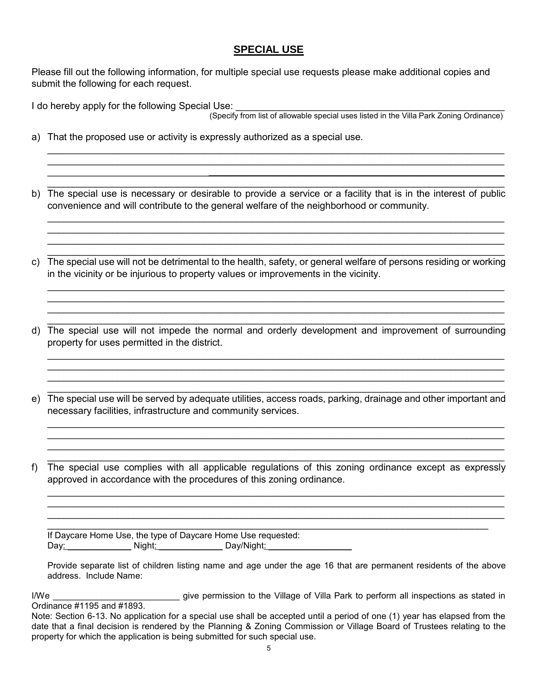#### **SPECIAL USE**

Please fill out the following information, for multiple special use requests please make additional copies and submit the following for each request.

I do hereby apply for the following Special Use:

(Specify from list of allowable special uses listed in the Villa Park Zoning Ordinance)

- a) That the proposed use or activity is expressly authorized as a special use.
- b) The special use is necessary or desirable to provide a service or a facility that is in the interest of public convenience and will contribute to the general welfare of the neighborhood or community.

 $\_$  , and the set of the set of the set of the set of the set of the set of the set of the set of the set of the set of the set of the set of the set of the set of the set of the set of the set of the set of the set of th  $\_$  , and the set of the set of the set of the set of the set of the set of the set of the set of the set of the set of the set of the set of the set of the set of the set of the set of the set of the set of the set of th  $\_$  , and the set of the set of the set of the set of the set of the set of the set of the set of the set of the set of the set of the set of the set of the set of the set of the set of the set of the set of the set of th

 $\_$  , and the set of the set of the set of the set of the set of the set of the set of the set of the set of the set of the set of the set of the set of the set of the set of the set of the set of the set of the set of th  $\_$  , and the set of the set of the set of the set of the set of the set of the set of the set of the set of the set of the set of the set of the set of the set of the set of the set of the set of the set of the set of th  $\_$  , and the state of the state of the state of the state of the state of the state of the state of the state of the state of the state of the state of the state of the state of the state of the state of the state of the  $\mathcal{L}_\mathcal{L} = \mathcal{L}_\mathcal{L} = \mathcal{L}_\mathcal{L} = \mathcal{L}_\mathcal{L} = \mathcal{L}_\mathcal{L} = \mathcal{L}_\mathcal{L} = \mathcal{L}_\mathcal{L} = \mathcal{L}_\mathcal{L} = \mathcal{L}_\mathcal{L} = \mathcal{L}_\mathcal{L} = \mathcal{L}_\mathcal{L} = \mathcal{L}_\mathcal{L} = \mathcal{L}_\mathcal{L} = \mathcal{L}_\mathcal{L} = \mathcal{L}_\mathcal{L} = \mathcal{L}_\mathcal{L} = \mathcal{L}_\mathcal{L}$ 

 $\_$  , and the set of the set of the set of the set of the set of the set of the set of the set of the set of the set of the set of the set of the set of the set of the set of the set of the set of the set of the set of th c) The special use will not be detrimental to the health, safety, or general welfare of persons residing or working in the vicinity or be injurious to property values or improvements in the vicinity.

 $\_$  , and the set of the set of the set of the set of the set of the set of the set of the set of the set of the set of the set of the set of the set of the set of the set of the set of the set of the set of the set of th  $\_$  , and the set of the set of the set of the set of the set of the set of the set of the set of the set of the set of the set of the set of the set of the set of the set of the set of the set of the set of the set of th  $\_$  , and the set of the set of the set of the set of the set of the set of the set of the set of the set of the set of the set of the set of the set of the set of the set of the set of the set of the set of the set of th

 $\_$  , and the set of the set of the set of the set of the set of the set of the set of the set of the set of the set of the set of the set of the set of the set of the set of the set of the set of the set of the set of th d) The special use will not impede the normal and orderly development and improvement of surrounding property for uses permitted in the district.

 $\_$  , and the set of the set of the set of the set of the set of the set of the set of the set of the set of the set of the set of the set of the set of the set of the set of the set of the set of the set of the set of th  $\_$  , and the set of the set of the set of the set of the set of the set of the set of the set of the set of the set of the set of the set of the set of the set of the set of the set of the set of the set of the set of th  $\_$  , and the set of the set of the set of the set of the set of the set of the set of the set of the set of the set of the set of the set of the set of the set of the set of the set of the set of the set of the set of th

 $\_$  , and the set of the set of the set of the set of the set of the set of the set of the set of the set of the set of the set of the set of the set of the set of the set of the set of the set of the set of the set of th e) The special use will be served by adequate utilities, access roads, parking, drainage and other important and necessary facilities, infrastructure and community services.

 $\_$  , and the set of the set of the set of the set of the set of the set of the set of the set of the set of the set of the set of the set of the set of the set of the set of the set of the set of the set of the set of th  $\_$  , and the set of the set of the set of the set of the set of the set of the set of the set of the set of the set of the set of the set of the set of the set of the set of the set of the set of the set of the set of th  $\_$  , and the set of the set of the set of the set of the set of the set of the set of the set of the set of the set of the set of the set of the set of the set of the set of the set of the set of the set of the set of th

 $\_$  , and the set of the set of the set of the set of the set of the set of the set of the set of the set of the set of the set of the set of the set of the set of the set of the set of the set of the set of the set of th f) The special use complies with all applicable regulations of this zoning ordinance except as expressly approved in accordance with the procedures of this zoning ordinance.

 $\_$  , and the set of the set of the set of the set of the set of the set of the set of the set of the set of the set of the set of the set of the set of the set of the set of the set of the set of the set of the set of th  $\_$  , and the set of the set of the set of the set of the set of the set of the set of the set of the set of the set of the set of the set of the set of the set of the set of the set of the set of the set of the set of th

\_\_\_\_\_\_\_\_\_\_\_\_\_\_\_\_\_\_\_\_\_\_\_\_\_\_\_\_\_\_\_\_\_\_\_\_\_\_\_\_\_\_\_\_\_\_\_\_\_\_\_\_\_\_\_\_\_\_\_\_\_\_\_\_\_\_\_\_\_\_\_\_\_\_\_\_\_\_\_\_\_\_ If Daycare Home Use, the type of Daycare Home Use requested: Day: \_\_\_\_\_\_\_\_\_\_\_\_\_ Night: \_\_\_\_\_\_\_\_\_\_\_\_\_ Day/Night: \_\_\_\_\_\_\_\_\_\_\_\_\_\_\_\_\_

Provide separate list of children listing name and age under the age 16 that are permanent residents of the above address. Include Name:

I/We \_\_\_\_\_\_\_\_\_\_\_\_\_\_\_\_\_\_\_\_\_\_\_\_\_\_\_\_\_\_\_ give permission to the Village of Villa Park to perform all inspections as stated in Ordinance #1195 and #1893.

Note: Section 6-13. No application for a special use shall be accepted until a period of one (1) year has elapsed from the date that a final decision is rendered by the Planning & Zoning Commission or Village Board of Trustees relating to the property for which the application is being submitted for such special use.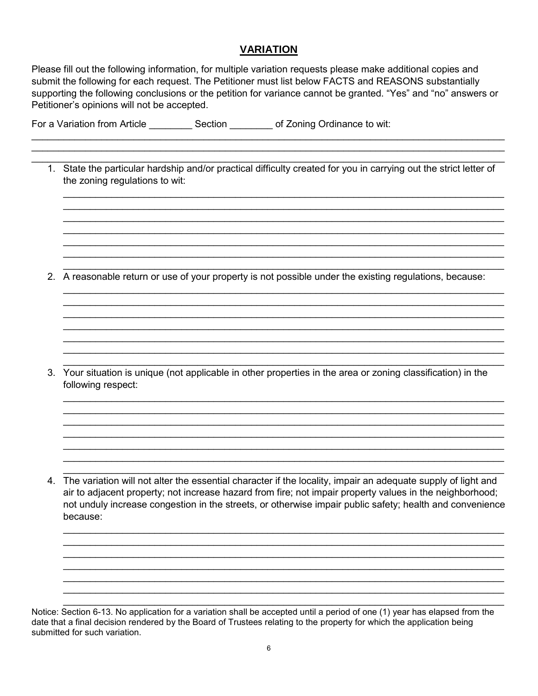#### **VARIATION**

Please fill out the following information, for multiple variation requests please make additional copies and submit the following for each request. The Petitioner must list below FACTS and REASONS substantially supporting the following conclusions or the petition for variance cannot be granted. "Yes" and "no" answers or Petitioner's opinions will not be accepted.

| For a Variation from Article | Section | of Zoning Ordinance to wit: |
|------------------------------|---------|-----------------------------|
|------------------------------|---------|-----------------------------|

 $\_$  , and the set of the set of the set of the set of the set of the set of the set of the set of the set of the set of the set of the set of the set of the set of the set of the set of the set of the set of the set of th 1. State the particular hardship and/or practical difficulty created for you in carrying out the strict letter of the zoning regulations to wit:

 $\_$  ,  $\_$  ,  $\_$  ,  $\_$  ,  $\_$  ,  $\_$  ,  $\_$  ,  $\_$  ,  $\_$  ,  $\_$  ,  $\_$  ,  $\_$  ,  $\_$  ,  $\_$  ,  $\_$  ,  $\_$  ,  $\_$  ,  $\_$  ,  $\_$  ,  $\_$  ,  $\_$  ,  $\_$  ,  $\_$  ,  $\_$  ,  $\_$  ,  $\_$  ,  $\_$  ,  $\_$  ,  $\_$  ,  $\_$  ,  $\_$  ,  $\_$  ,  $\_$  ,  $\_$  ,  $\_$  ,  $\_$  ,  $\_$  ,  $\_$  , and the set of the set of the set of the set of the set of the set of the set of the set of the set of the set of the set of the set of the set of the set of the set of the set of the set of the set of the set of th  $\_$  ,  $\_$  ,  $\_$  ,  $\_$  ,  $\_$  ,  $\_$  ,  $\_$  ,  $\_$  ,  $\_$  ,  $\_$  ,  $\_$  ,  $\_$  ,  $\_$  ,  $\_$  ,  $\_$  ,  $\_$  ,  $\_$  ,  $\_$  ,  $\_$  ,  $\_$  ,  $\_$  ,  $\_$  ,  $\_$  ,  $\_$  ,  $\_$  ,  $\_$  ,  $\_$  ,  $\_$  ,  $\_$  ,  $\_$  ,  $\_$  ,  $\_$  ,  $\_$  ,  $\_$  ,  $\_$  ,  $\_$  ,  $\_$  ,  $\_$  , and the set of the set of the set of the set of the set of the set of the set of the set of the set of the set of the set of the set of the set of the set of the set of the set of the set of the set of the set of th  $\_$  ,  $\_$  ,  $\_$  ,  $\_$  ,  $\_$  ,  $\_$  ,  $\_$  ,  $\_$  ,  $\_$  ,  $\_$  ,  $\_$  ,  $\_$  ,  $\_$  ,  $\_$  ,  $\_$  ,  $\_$  ,  $\_$  ,  $\_$  ,  $\_$  ,  $\_$  ,  $\_$  ,  $\_$  ,  $\_$  ,  $\_$  ,  $\_$  ,  $\_$  ,  $\_$  ,  $\_$  ,  $\_$  ,  $\_$  ,  $\_$  ,  $\_$  ,  $\_$  ,  $\_$  ,  $\_$  ,  $\_$  ,  $\_$  ,  $\_$  , and the set of the set of the set of the set of the set of the set of the set of the set of the set of the set of the set of the set of the set of the set of the set of the set of the set of the set of the set of th  $\_$  ,  $\_$  ,  $\_$  ,  $\_$  ,  $\_$  ,  $\_$  ,  $\_$  ,  $\_$  ,  $\_$  ,  $\_$  ,  $\_$  ,  $\_$  ,  $\_$  ,  $\_$  ,  $\_$  ,  $\_$  ,  $\_$  ,  $\_$  ,  $\_$  ,  $\_$  ,  $\_$  ,  $\_$  ,  $\_$  ,  $\_$  ,  $\_$  ,  $\_$  ,  $\_$  ,  $\_$  ,  $\_$  ,  $\_$  ,  $\_$  ,  $\_$  ,  $\_$  ,  $\_$  ,  $\_$  ,  $\_$  ,  $\_$  ,

 $\_$  ,  $\_$  ,  $\_$  ,  $\_$  ,  $\_$  ,  $\_$  ,  $\_$  ,  $\_$  ,  $\_$  ,  $\_$  ,  $\_$  ,  $\_$  ,  $\_$  ,  $\_$  ,  $\_$  ,  $\_$  ,  $\_$  ,  $\_$  ,  $\_$  ,  $\_$  ,  $\_$  ,  $\_$  ,  $\_$  ,  $\_$  ,  $\_$  ,  $\_$  ,  $\_$  ,  $\_$  ,  $\_$  ,  $\_$  ,  $\_$  ,  $\_$  ,  $\_$  ,  $\_$  ,  $\_$  ,  $\_$  ,  $\_$  ,  $\_$  ,  $\_$  ,  $\_$  ,  $\_$  ,  $\_$  ,  $\_$  ,  $\_$  ,  $\_$  ,  $\_$  ,  $\_$  ,  $\_$  ,  $\_$  ,  $\_$  ,  $\_$  ,  $\_$  ,  $\_$  ,  $\_$  ,  $\_$  ,  $\_$  ,  $\_$  ,  $\_$  ,  $\_$  ,  $\_$  ,  $\_$  ,  $\_$  ,  $\_$  ,  $\_$  ,  $\_$  ,  $\_$  ,  $\_$  ,  $\_$  ,  $\_$  ,  $\_$  ,  $\_$  ,  $\_$  ,  $\_$  ,  $\_$  ,  $\_$  , and the set of the set of the set of the set of the set of the set of the set of the set of the set of the set of the set of the set of the set of the set of the set of the set of the set of the set of the set of th  $\_$  ,  $\_$  ,  $\_$  ,  $\_$  ,  $\_$  ,  $\_$  ,  $\_$  ,  $\_$  ,  $\_$  ,  $\_$  ,  $\_$  ,  $\_$  ,  $\_$  ,  $\_$  ,  $\_$  ,  $\_$  ,  $\_$  ,  $\_$  ,  $\_$  ,  $\_$  ,  $\_$  ,  $\_$  ,  $\_$  ,  $\_$  ,  $\_$  ,  $\_$  ,  $\_$  ,  $\_$  ,  $\_$  ,  $\_$  ,  $\_$  ,  $\_$  ,  $\_$  ,  $\_$  ,  $\_$  ,  $\_$  ,  $\_$  ,  $\_$  , and the set of the set of the set of the set of the set of the set of the set of the set of the set of the set of the set of the set of the set of the set of the set of the set of the set of the set of the set of th  $\_$  , and the set of the set of the set of the set of the set of the set of the set of the set of the set of the set of the set of the set of the set of the set of the set of the set of the set of the set of the set of th  $\_$  ,  $\_$  ,  $\_$  ,  $\_$  ,  $\_$  ,  $\_$  ,  $\_$  ,  $\_$  ,  $\_$  ,  $\_$  ,  $\_$  ,  $\_$  ,  $\_$  ,  $\_$  ,  $\_$  ,  $\_$  ,  $\_$  ,  $\_$  ,  $\_$  ,  $\_$  ,  $\_$  ,  $\_$  ,  $\_$  ,  $\_$  ,  $\_$  ,  $\_$  ,  $\_$  ,  $\_$  ,  $\_$  ,  $\_$  ,  $\_$  ,  $\_$  ,  $\_$  ,  $\_$  ,  $\_$  ,  $\_$  ,  $\_$  ,

 $\_$  ,  $\_$  ,  $\_$  ,  $\_$  ,  $\_$  ,  $\_$  ,  $\_$  ,  $\_$  ,  $\_$  ,  $\_$  ,  $\_$  ,  $\_$  ,  $\_$  ,  $\_$  ,  $\_$  ,  $\_$  ,  $\_$  ,  $\_$  ,  $\_$  ,  $\_$  ,  $\_$  ,  $\_$  ,  $\_$  ,  $\_$  ,  $\_$  ,  $\_$  ,  $\_$  ,  $\_$  ,  $\_$  ,  $\_$  ,  $\_$  ,  $\_$  ,  $\_$  ,  $\_$  ,  $\_$  ,  $\_$  ,  $\_$  , \_\_\_\_\_\_\_\_\_\_\_\_\_\_\_\_\_\_\_\_\_\_\_\_\_\_\_\_\_\_\_\_\_\_\_\_\_\_\_\_\_\_\_\_\_\_\_\_\_\_\_\_\_\_\_\_\_\_\_\_\_\_\_\_\_\_\_\_\_\_\_\_\_\_\_\_\_\_\_\_\_\_\_\_\_\_\_\_

2. A reasonable return or use of your property is not possible under the existing regulations, because:

3. Your situation is unique (not applicable in other properties in the area or zoning classification) in the following respect:

 $\_$  ,  $\_$  ,  $\_$  ,  $\_$  ,  $\_$  ,  $\_$  ,  $\_$  ,  $\_$  ,  $\_$  ,  $\_$  ,  $\_$  ,  $\_$  ,  $\_$  ,  $\_$  ,  $\_$  ,  $\_$  ,  $\_$  ,  $\_$  ,  $\_$  ,  $\_$  ,  $\_$  ,  $\_$  ,  $\_$  ,  $\_$  ,  $\_$  ,  $\_$  ,  $\_$  ,  $\_$  ,  $\_$  ,  $\_$  ,  $\_$  ,  $\_$  ,  $\_$  ,  $\_$  ,  $\_$  ,  $\_$  ,  $\_$  ,  $\_$  , and the set of the set of the set of the set of the set of the set of the set of the set of the set of the set of the set of the set of the set of the set of the set of the set of the set of the set of the set of th  $\_$  ,  $\_$  ,  $\_$  ,  $\_$  ,  $\_$  ,  $\_$  ,  $\_$  ,  $\_$  ,  $\_$  ,  $\_$  ,  $\_$  ,  $\_$  ,  $\_$  ,  $\_$  ,  $\_$  ,  $\_$  ,  $\_$  ,  $\_$  ,  $\_$  ,  $\_$  ,  $\_$  ,  $\_$  ,  $\_$  ,  $\_$  ,  $\_$  ,  $\_$  ,  $\_$  ,  $\_$  ,  $\_$  ,  $\_$  ,  $\_$  ,  $\_$  ,  $\_$  ,  $\_$  ,  $\_$  ,  $\_$  ,  $\_$  ,  $\_$  , and the set of the set of the set of the set of the set of the set of the set of the set of the set of the set of the set of the set of the set of the set of the set of the set of the set of the set of the set of th  $\_$  ,  $\_$  ,  $\_$  ,  $\_$  ,  $\_$  ,  $\_$  ,  $\_$  ,  $\_$  ,  $\_$  ,  $\_$  ,  $\_$  ,  $\_$  ,  $\_$  ,  $\_$  ,  $\_$  ,  $\_$  ,  $\_$  ,  $\_$  ,  $\_$  ,  $\_$  ,  $\_$  ,  $\_$  ,  $\_$  ,  $\_$  ,  $\_$  ,  $\_$  ,  $\_$  ,  $\_$  ,  $\_$  ,  $\_$  ,  $\_$  ,  $\_$  ,  $\_$  ,  $\_$  ,  $\_$  ,  $\_$  ,  $\_$  ,  $\_$  , and the set of the set of the set of the set of the set of the set of the set of the set of the set of the set of the set of the set of the set of the set of the set of the set of the set of the set of the set of th

 $\_$  ,  $\_$  ,  $\_$  ,  $\_$  ,  $\_$  ,  $\_$  ,  $\_$  ,  $\_$  ,  $\_$  ,  $\_$  ,  $\_$  ,  $\_$  ,  $\_$  ,  $\_$  ,  $\_$  ,  $\_$  ,  $\_$  ,  $\_$  ,  $\_$  ,  $\_$  ,  $\_$  ,  $\_$  ,  $\_$  ,  $\_$  ,  $\_$  ,  $\_$  ,  $\_$  ,  $\_$  ,  $\_$  ,  $\_$  ,  $\_$  ,  $\_$  ,  $\_$  ,  $\_$  ,  $\_$  ,  $\_$  ,  $\_$  , 4. The variation will not alter the essential character if the locality, impair an adequate supply of light and air to adjacent property; not increase hazard from fire; not impair property values in the neighborhood; not unduly increase congestion in the streets, or otherwise impair public safety; health and convenience because:

 $\_$  ,  $\_$  ,  $\_$  ,  $\_$  ,  $\_$  ,  $\_$  ,  $\_$  ,  $\_$  ,  $\_$  ,  $\_$  ,  $\_$  ,  $\_$  ,  $\_$  ,  $\_$  ,  $\_$  ,  $\_$  ,  $\_$  ,  $\_$  ,  $\_$  ,  $\_$  ,  $\_$  ,  $\_$  ,  $\_$  ,  $\_$  ,  $\_$  ,  $\_$  ,  $\_$  ,  $\_$  ,  $\_$  ,  $\_$  ,  $\_$  ,  $\_$  ,  $\_$  ,  $\_$  ,  $\_$  ,  $\_$  ,  $\_$  ,  $\_$  ,  $\_$  ,  $\_$  ,  $\_$  ,  $\_$  ,  $\_$  ,  $\_$  ,  $\_$  ,  $\_$  ,  $\_$  ,  $\_$  ,  $\_$  ,  $\_$  ,  $\_$  ,  $\_$  ,  $\_$  ,  $\_$  ,  $\_$  ,  $\_$  ,  $\_$  ,  $\_$  ,  $\_$  ,  $\_$  ,  $\_$  ,  $\_$  ,  $\_$  ,  $\_$  ,  $\_$  ,  $\_$  ,  $\_$  ,  $\_$  ,  $\_$  ,  $\_$  ,  $\_$  ,  $\_$  ,  $\_$  ,  $\_$  ,  $\_$  , and the set of the set of the set of the set of the set of the set of the set of the set of the set of the set of the set of the set of the set of the set of the set of the set of the set of the set of the set of th  $\_$  ,  $\_$  ,  $\_$  ,  $\_$  ,  $\_$  ,  $\_$  ,  $\_$  ,  $\_$  ,  $\_$  ,  $\_$  ,  $\_$  ,  $\_$  ,  $\_$  ,  $\_$  ,  $\_$  ,  $\_$  ,  $\_$  ,  $\_$  ,  $\_$  ,  $\_$  ,  $\_$  ,  $\_$  ,  $\_$  ,  $\_$  ,  $\_$  ,  $\_$  ,  $\_$  ,  $\_$  ,  $\_$  ,  $\_$  ,  $\_$  ,  $\_$  ,  $\_$  ,  $\_$  ,  $\_$  ,  $\_$  ,  $\_$  ,  $\_$  , and the set of the set of the set of the set of the set of the set of the set of the set of the set of the set of the set of the set of the set of the set of the set of the set of the set of the set of the set of th  $\_$  , and the set of the set of the set of the set of the set of the set of the set of the set of the set of the set of the set of the set of the set of the set of the set of the set of the set of the set of the set of th

 $\_$  ,  $\_$  ,  $\_$  ,  $\_$  ,  $\_$  ,  $\_$  ,  $\_$  ,  $\_$  ,  $\_$  ,  $\_$  ,  $\_$  ,  $\_$  ,  $\_$  ,  $\_$  ,  $\_$  ,  $\_$  ,  $\_$  ,  $\_$  ,  $\_$  ,  $\_$  ,  $\_$  ,  $\_$  ,  $\_$  ,  $\_$  ,  $\_$  ,  $\_$  ,  $\_$  ,  $\_$  ,  $\_$  ,  $\_$  ,  $\_$  ,  $\_$  ,  $\_$  ,  $\_$  ,  $\_$  ,  $\_$  ,  $\_$  , Notice: Section 6-13. No application for a variation shall be accepted until a period of one (1) year has elapsed from the date that a final decision rendered by the Board of Trustees relating to the property for which the application being submitted for such variation.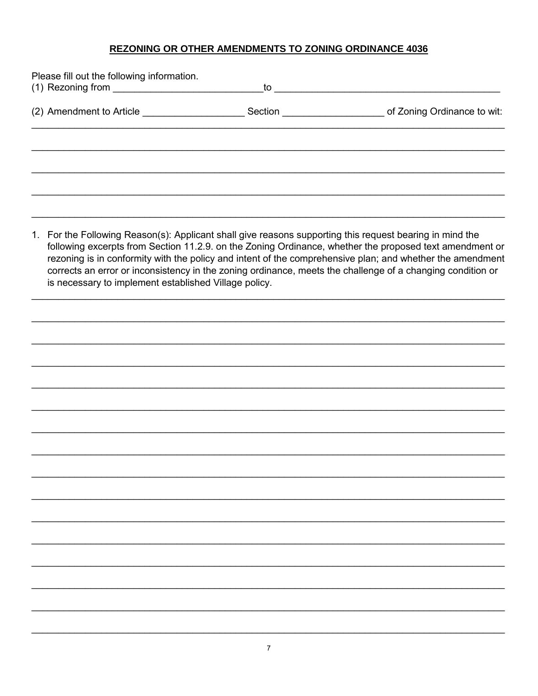## REZONING OR OTHER AMENDMENTS TO ZONING ORDINANCE 4036

| Please fill out the following information. | to to the state of the state of the state of the state of the state of the state of the state of the state of the state of the state of the state of the state of the state of the state of the state of the state of the stat |  |  |  |  |  |
|--------------------------------------------|--------------------------------------------------------------------------------------------------------------------------------------------------------------------------------------------------------------------------------|--|--|--|--|--|
| (2) Amendment to Article                   |                                                                                                                                                                                                                                |  |  |  |  |  |
|                                            |                                                                                                                                                                                                                                |  |  |  |  |  |
|                                            |                                                                                                                                                                                                                                |  |  |  |  |  |
|                                            |                                                                                                                                                                                                                                |  |  |  |  |  |
|                                            |                                                                                                                                                                                                                                |  |  |  |  |  |
|                                            |                                                                                                                                                                                                                                |  |  |  |  |  |

1. For the Following Reason(s): Applicant shall give reasons supporting this request bearing in mind the following excerpts from Section 11.2.9. on the Zoning Ordinance, whether the proposed text amendment or rezoning is in conformity with the policy and intent of the comprehensive plan; and whether the amendment corrects an error or inconsistency in the zoning ordinance, meets the challenge of a changing condition or is necessary to implement established Village policy.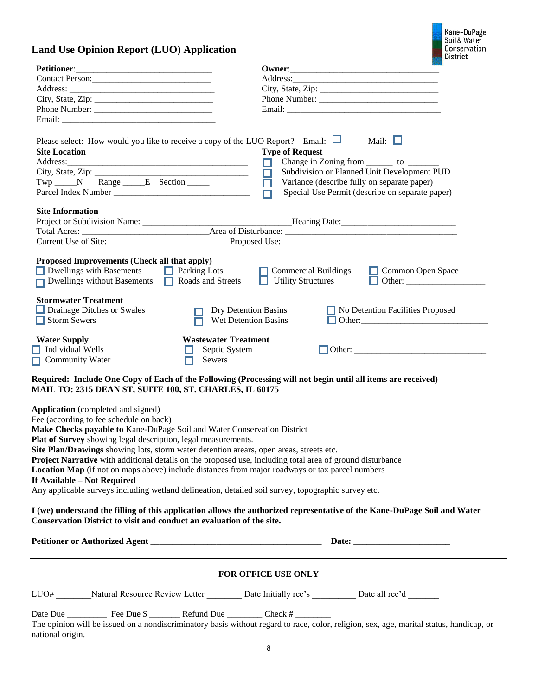### **Land Use Opinion Report (LUO) Application**

| <b>Land Use Opinion Report (LUO) Application</b>                                                                                                                                                                                                                                                                                                                                                                                                                                                                                                                                                                                                                                  |                                                        |                                                          | Kane-DuPage<br>Soil & Water<br>Conservation                                                                                                                                                                   |
|-----------------------------------------------------------------------------------------------------------------------------------------------------------------------------------------------------------------------------------------------------------------------------------------------------------------------------------------------------------------------------------------------------------------------------------------------------------------------------------------------------------------------------------------------------------------------------------------------------------------------------------------------------------------------------------|--------------------------------------------------------|----------------------------------------------------------|---------------------------------------------------------------------------------------------------------------------------------------------------------------------------------------------------------------|
|                                                                                                                                                                                                                                                                                                                                                                                                                                                                                                                                                                                                                                                                                   |                                                        |                                                          | <b>District</b>                                                                                                                                                                                               |
| Petitioner: New York Changes and Section 2014                                                                                                                                                                                                                                                                                                                                                                                                                                                                                                                                                                                                                                     |                                                        |                                                          |                                                                                                                                                                                                               |
| Contact Person:                                                                                                                                                                                                                                                                                                                                                                                                                                                                                                                                                                                                                                                                   |                                                        |                                                          |                                                                                                                                                                                                               |
| City, State, Zip: $\frac{2}{1}$                                                                                                                                                                                                                                                                                                                                                                                                                                                                                                                                                                                                                                                   |                                                        |                                                          |                                                                                                                                                                                                               |
|                                                                                                                                                                                                                                                                                                                                                                                                                                                                                                                                                                                                                                                                                   |                                                        |                                                          |                                                                                                                                                                                                               |
|                                                                                                                                                                                                                                                                                                                                                                                                                                                                                                                                                                                                                                                                                   |                                                        |                                                          |                                                                                                                                                                                                               |
| Please select: How would you like to receive a copy of the LUO Report? Email: $\Box$<br><b>Site Location</b><br>Address:<br>Twp N Range E Section<br><b>Site Information</b>                                                                                                                                                                                                                                                                                                                                                                                                                                                                                                      |                                                        | <b>Type of Request</b><br>$\Box$<br>$\Box$               | Mail: $\Box$<br>Change in Zoning from _________ to _________<br>Subdivision or Planned Unit Development PUD<br>Variance (describe fully on separate paper)<br>Special Use Permit (describe on separate paper) |
|                                                                                                                                                                                                                                                                                                                                                                                                                                                                                                                                                                                                                                                                                   |                                                        |                                                          |                                                                                                                                                                                                               |
|                                                                                                                                                                                                                                                                                                                                                                                                                                                                                                                                                                                                                                                                                   |                                                        |                                                          |                                                                                                                                                                                                               |
|                                                                                                                                                                                                                                                                                                                                                                                                                                                                                                                                                                                                                                                                                   |                                                        |                                                          |                                                                                                                                                                                                               |
| Proposed Improvements (Check all that apply)<br>Devellings with Basements Developments Developments<br>Dwellings without Basements Roads and Streets                                                                                                                                                                                                                                                                                                                                                                                                                                                                                                                              |                                                        | $\Box$ Commercial Buildings<br><b>Utility Structures</b> | Common Open Space                                                                                                                                                                                             |
| <b>Stormwater Treatment</b><br>Drainage Ditches or Swales<br>$\Box$ Storm Sewers                                                                                                                                                                                                                                                                                                                                                                                                                                                                                                                                                                                                  |                                                        | Dry Detention Basins<br>Wet Detention Basins             | No Detention Facilities Proposed                                                                                                                                                                              |
| <b>Water Supply</b><br>Individual Wells<br><b>Community Water</b>                                                                                                                                                                                                                                                                                                                                                                                                                                                                                                                                                                                                                 | <b>Wastewater Treatment</b><br>Septic System<br>Sewers |                                                          |                                                                                                                                                                                                               |
| Required: Include One Copy of Each of the Following (Processing will not begin until all items are received)<br>MAIL TO: 2315 DEAN ST, SUITE 100, ST. CHARLES, IL 60175                                                                                                                                                                                                                                                                                                                                                                                                                                                                                                           |                                                        |                                                          |                                                                                                                                                                                                               |
| <b>Application</b> (completed and signed)<br>Fee (according to fee schedule on back)<br>Make Checks payable to Kane-DuPage Soil and Water Conservation District<br>Plat of Survey showing legal description, legal measurements.<br>Site Plan/Drawings showing lots, storm water detention arears, open areas, streets etc.<br>Project Narrative with additional details on the proposed use, including total area of ground disturbance<br>Location Map (if not on maps above) include distances from major roadways or tax parcel numbers<br>If Available - Not Required<br>Any applicable surveys including wetland delineation, detailed soil survey, topographic survey etc. |                                                        |                                                          |                                                                                                                                                                                                               |
| I (we) understand the filling of this application allows the authorized representative of the Kane-DuPage Soil and Water<br>Conservation District to visit and conduct an evaluation of the site.                                                                                                                                                                                                                                                                                                                                                                                                                                                                                 |                                                        |                                                          |                                                                                                                                                                                                               |
|                                                                                                                                                                                                                                                                                                                                                                                                                                                                                                                                                                                                                                                                                   |                                                        |                                                          |                                                                                                                                                                                                               |
|                                                                                                                                                                                                                                                                                                                                                                                                                                                                                                                                                                                                                                                                                   |                                                        | <b>FOR OFFICE USE ONLY</b>                               |                                                                                                                                                                                                               |
| LUO# Natural Resource Review Letter Date Initially rec's Date all rec'd Date all rec'd                                                                                                                                                                                                                                                                                                                                                                                                                                                                                                                                                                                            |                                                        |                                                          |                                                                                                                                                                                                               |
| The opinion will be issued on a nondiscriminatory basis without regard to race, color, religion, sex, age, marital status, handicap, or<br>national origin.                                                                                                                                                                                                                                                                                                                                                                                                                                                                                                                       |                                                        |                                                          |                                                                                                                                                                                                               |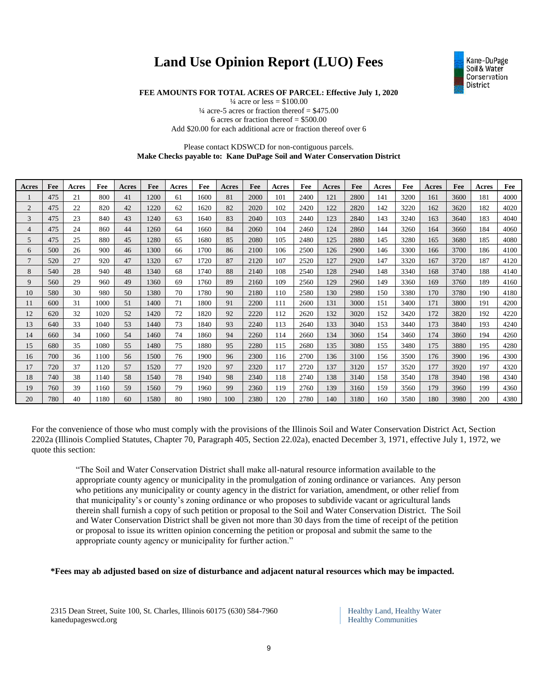# **Land Use Opinion Report (LUO) Fees**



**FEE AMOUNTS FOR TOTAL ACRES OF PARCEL: Effective July 1, 2020**

 $\frac{1}{4}$  acre or less = \$100.00  $\frac{1}{4}$  acre-5 acres or fraction thereof = \$475.00 6 acres or fraction thereof = \$500.00 Add \$20.00 for each additional acre or fraction thereof over 6

#### Please contact KDSWCD for non-contiguous parcels. **Make Checks payable to: Kane DuPage Soil and Water Conservation District**

| Acres          | Fee | Acres | Fee  | Acres | Fee  | Acres | Fee  | Acres | Fee  | Acres | Fee  | Acres | Fee  | Acres | Fee  | Acres | Fee  | Acres | Fee  |
|----------------|-----|-------|------|-------|------|-------|------|-------|------|-------|------|-------|------|-------|------|-------|------|-------|------|
|                | 475 | 21    | 800  | 41    | 1200 | 61    | 1600 | 81    | 2000 | 101   | 2400 | 121   | 2800 | 141   | 3200 | 161   | 3600 | 181   | 4000 |
| 2              | 475 | 22    | 820  | 42    | 1220 | 62    | 1620 | 82    | 2020 | 102   | 2420 | 122   | 2820 | 142   | 3220 | 162   | 3620 | 182   | 4020 |
| 3              | 475 | 23    | 840  | 43    | 1240 | 63    | 1640 | 83    | 2040 | 103   | 2440 | 123   | 2840 | 143   | 3240 | 163   | 3640 | 183   | 4040 |
| 4              | 475 | 24    | 860  | 44    | 1260 | 64    | 1660 | 84    | 2060 | 104   | 2460 | 124   | 2860 | 144   | 3260 | 164   | 3660 | 184   | 4060 |
| 5              | 475 | 25    | 880  | 45    | 1280 | 65    | 1680 | 85    | 2080 | 105   | 2480 | 125   | 2880 | 145   | 3280 | 165   | 3680 | 185   | 4080 |
| 6              | 500 | 26    | 900  | 46    | 1300 | 66    | 1700 | 86    | 2100 | 106   | 2500 | 126   | 2900 | 146   | 3300 | 166   | 3700 | 186   | 4100 |
| $\overline{7}$ | 520 | 27    | 920  | 47    | 1320 | 67    | 1720 | 87    | 2120 | 107   | 2520 | 127   | 2920 | 147   | 3320 | 167   | 3720 | 187   | 4120 |
| 8              | 540 | 28    | 940  | 48    | 1340 | 68    | 1740 | 88    | 2140 | 108   | 2540 | 128   | 2940 | 148   | 3340 | 168   | 3740 | 188   | 4140 |
| 9              | 560 | 29    | 960  | 49    | 1360 | 69    | 1760 | 89    | 2160 | 109   | 2560 | 129   | 2960 | 149   | 3360 | 169   | 3760 | 189   | 4160 |
| 10             | 580 | 30    | 980  | 50    | 1380 | 70    | 1780 | 90    | 2180 | 110   | 2580 | 130   | 2980 | 150   | 3380 | 170   | 3780 | 190   | 4180 |
| 11             | 600 | 31    | 1000 | 51    | 1400 | 71    | 1800 | 91    | 2200 | 111   | 2600 | 131   | 3000 | 151   | 3400 | 171   | 3800 | 191   | 4200 |
| 12             | 620 | 32    | 1020 | 52    | 1420 | 72    | 1820 | 92    | 2220 | 112   | 2620 | 132   | 3020 | 152   | 3420 | 172   | 3820 | 192   | 4220 |
| 13             | 640 | 33    | 1040 | 53    | 1440 | 73    | 1840 | 93    | 2240 | 113   | 2640 | 133   | 3040 | 153   | 3440 | 173   | 3840 | 193   | 4240 |
| 14             | 660 | 34    | 1060 | 54    | 1460 | 74    | 1860 | 94    | 2260 | 114   | 2660 | 134   | 3060 | 154   | 3460 | 174   | 3860 | 194   | 4260 |
| 15             | 680 | 35    | 1080 | 55    | 1480 | 75    | 1880 | 95    | 2280 | 115   | 2680 | 135   | 3080 | 155   | 3480 | 175   | 3880 | 195   | 4280 |
| 16             | 700 | 36    | 1100 | 56    | 1500 | 76    | 1900 | 96    | 2300 | 116   | 2700 | 136   | 3100 | 156   | 3500 | 176   | 3900 | 196   | 4300 |
| 17             | 720 | 37    | 1120 | 57    | 1520 | 77    | 1920 | 97    | 2320 | 117   | 2720 | 137   | 3120 | 157   | 3520 | 177   | 3920 | 197   | 4320 |
| 18             | 740 | 38    | 1140 | 58    | 1540 | 78    | 1940 | 98    | 2340 | 118   | 2740 | 138   | 3140 | 158   | 3540 | 178   | 3940 | 198   | 4340 |
| 19             | 760 | 39    | 1160 | 59    | 1560 | 79    | 1960 | 99    | 2360 | 119   | 2760 | 139   | 3160 | 159   | 3560 | 179   | 3960 | 199   | 4360 |
| 20             | 780 | 40    | 1180 | 60    | 1580 | 80    | 1980 | 100   | 2380 | 120   | 2780 | 140   | 3180 | 160   | 3580 | 180   | 3980 | 200   | 4380 |

For the convenience of those who must comply with the provisions of the Illinois Soil and Water Conservation District Act, Section 2202a (Illinois Complied Statutes, Chapter 70, Paragraph 405, Section 22.02a), enacted December 3, 1971, effective July 1, 1972, we quote this section:

"The Soil and Water Conservation District shall make all-natural resource information available to the appropriate county agency or municipality in the promulgation of zoning ordinance or variances. Any person who petitions any municipality or county agency in the district for variation, amendment, or other relief from that municipality's or county's zoning ordinance or who proposes to subdivide vacant or agricultural lands therein shall furnish a copy of such petition or proposal to the Soil and Water Conservation District. The Soil and Water Conservation District shall be given not more than 30 days from the time of receipt of the petition or proposal to issue its written opinion concerning the petition or proposal and submit the same to the appropriate county agency or municipality for further action."

**\*Fees may ab adjusted based on size of disturbance and adjacent natural resources which may be impacted.**

2315 Dean Street, Suite 100, St. Charles, Illinois 60175 (630) 584-7960 Healthy Land, Healthy Water kanedupageswcd.org Healthy Communities